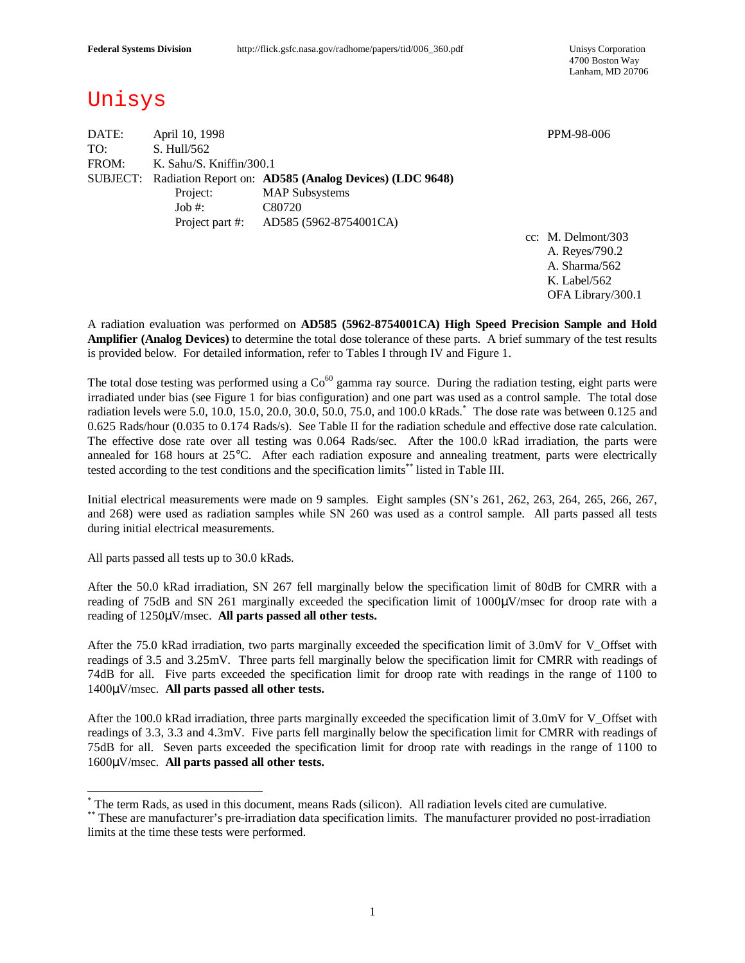4700 Boston Way Lanham, MD 20706

# Unisys

DATE: April 10, 1998 PPM-98-006 TO: S. Hull/562 FROM: K. Sahu/S. Kniffin/300.1 SUBJECT: Radiation Report on: **AD585 (Analog Devices) (LDC 9648)** Project: MAP Subsystems Job #: C80720 Project part #: AD585 (5962-8754001CA)

cc: M. Delmont/303 A. Reyes/790.2 A. Sharma/562 K. Label/562 OFA Library/300.1

A radiation evaluation was performed on **AD585 (5962-8754001CA) High Speed Precision Sample and Hold Amplifier (Analog Devices)** to determine the total dose tolerance of these parts. A brief summary of the test results is provided below. For detailed information, refer to Tables I through IV and Figure 1.

The total dose testing was performed using a  $Co^{60}$  gamma ray source. During the radiation testing, eight parts were irradiated under bias (see Figure 1 for bias configuration) and one part was used as a control sample. The total dose radiation levels were 5.0, 10.0, 15.0, 20.0, 30.0, 50.0, 75.0, and 100.0 kRads. \* The dose rate was between 0.125 and 0.625 Rads/hour (0.035 to 0.174 Rads/s). See Table II for the radiation schedule and effective dose rate calculation. The effective dose rate over all testing was 0.064 Rads/sec. After the 100.0 kRad irradiation, the parts were annealed for 168 hours at 25°C. After each radiation exposure and annealing treatment, parts were electrically tested according to the test conditions and the specification limits<sup>\*\*</sup> listed in Table III.

Initial electrical measurements were made on 9 samples. Eight samples (SN's 261, 262, 263, 264, 265, 266, 267, and 268) were used as radiation samples while SN 260 was used as a control sample. All parts passed all tests during initial electrical measurements.

All parts passed all tests up to 30.0 kRads.

 $\overline{a}$ 

After the 50.0 kRad irradiation, SN 267 fell marginally below the specification limit of 80dB for CMRR with a reading of 75dB and SN 261 marginally exceeded the specification limit of 1000μV/msec for droop rate with a reading of 1250μV/msec. **All parts passed all other tests.**

After the 75.0 kRad irradiation, two parts marginally exceeded the specification limit of 3.0mV for V\_Offset with readings of 3.5 and 3.25mV. Three parts fell marginally below the specification limit for CMRR with readings of 74dB for all. Five parts exceeded the specification limit for droop rate with readings in the range of 1100 to 1400μV/msec. **All parts passed all other tests.**

After the 100.0 kRad irradiation, three parts marginally exceeded the specification limit of 3.0mV for V\_Offset with readings of 3.3, 3.3 and 4.3mV. Five parts fell marginally below the specification limit for CMRR with readings of 75dB for all. Seven parts exceeded the specification limit for droop rate with readings in the range of 1100 to 1600μV/msec. **All parts passed all other tests.**

<sup>\*</sup> The term Rads, as used in this document, means Rads (silicon). All radiation levels cited are cumulative.

<sup>\*\*\*</sup> These are manufacturer's pre-irradiation data specification limits. The manufacturer provided no post-irradiation limits at the time these tests were performed.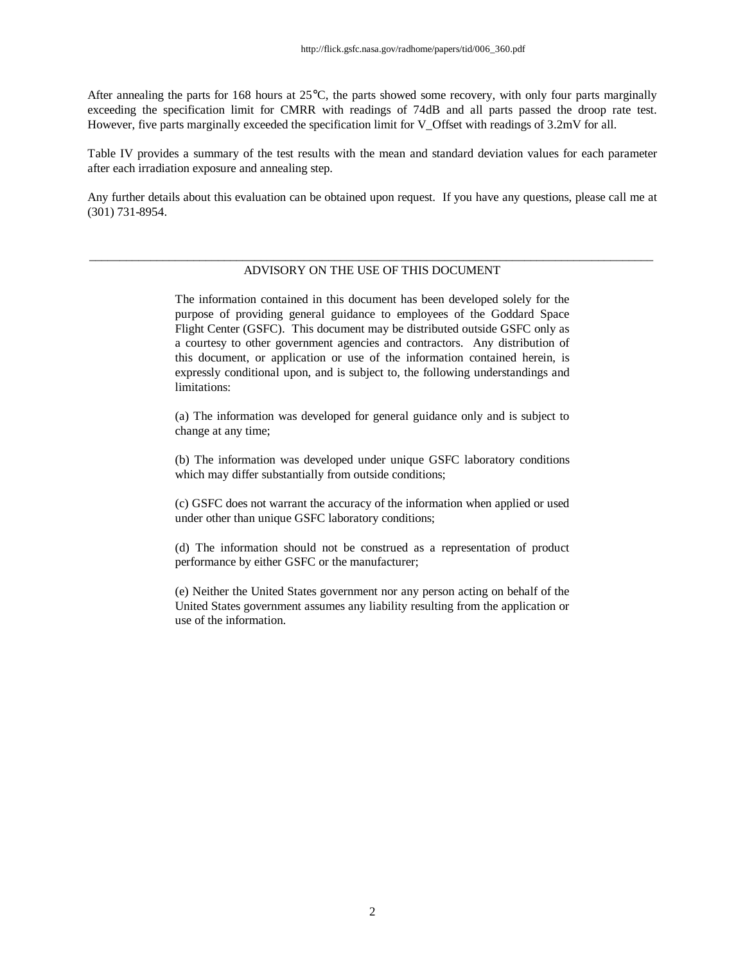After annealing the parts for 168 hours at 25°C, the parts showed some recovery, with only four parts marginally exceeding the specification limit for CMRR with readings of 74dB and all parts passed the droop rate test. However, five parts marginally exceeded the specification limit for V\_Offset with readings of 3.2mV for all.

Table IV provides a summary of the test results with the mean and standard deviation values for each parameter after each irradiation exposure and annealing step.

Any further details about this evaluation can be obtained upon request. If you have any questions, please call me at (301) 731-8954.

### \_\_\_\_\_\_\_\_\_\_\_\_\_\_\_\_\_\_\_\_\_\_\_\_\_\_\_\_\_\_\_\_\_\_\_\_\_\_\_\_\_\_\_\_\_\_\_\_\_\_\_\_\_\_\_\_\_\_\_\_\_\_\_\_\_\_\_\_\_\_\_\_\_\_\_\_\_\_\_\_\_\_\_\_\_\_\_\_\_\_\_\_ ADVISORY ON THE USE OF THIS DOCUMENT

The information contained in this document has been developed solely for the purpose of providing general guidance to employees of the Goddard Space Flight Center (GSFC). This document may be distributed outside GSFC only as a courtesy to other government agencies and contractors. Any distribution of this document, or application or use of the information contained herein, is expressly conditional upon, and is subject to, the following understandings and limitations:

(a) The information was developed for general guidance only and is subject to change at any time;

(b) The information was developed under unique GSFC laboratory conditions which may differ substantially from outside conditions;

(c) GSFC does not warrant the accuracy of the information when applied or used under other than unique GSFC laboratory conditions;

(d) The information should not be construed as a representation of product performance by either GSFC or the manufacturer;

(e) Neither the United States government nor any person acting on behalf of the United States government assumes any liability resulting from the application or use of the information.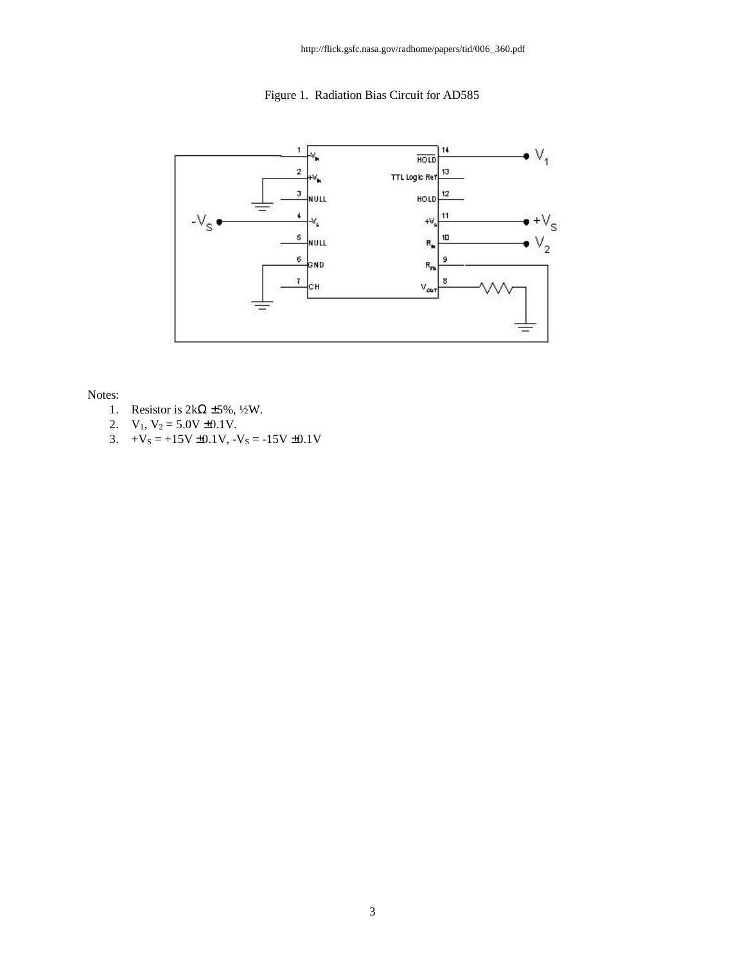http://flick.gsfc.nasa.gov/radhome/papers/tid/006\_360.pdf

Figure 1. Radiation Bias Circuit for AD585



Notes:

- 1. Resistor is  $2k\Omega \pm 5\%, \frac{1}{2}W$ .
- 2.  $V_1$ ,  $V_2 = 5.0V \pm 0.1V$ .
- 3.  $+V_s = +15V \pm 0.1V$ ,  $-V_s = -15V \pm 0.1V$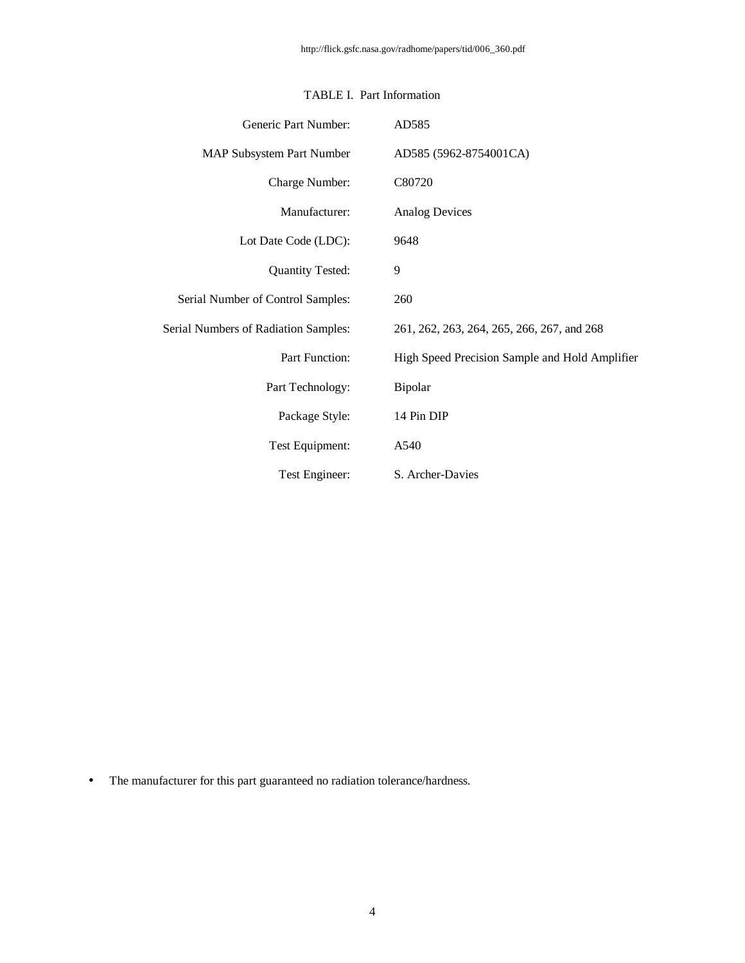| Generic Part Number:                        | AD585                                          |
|---------------------------------------------|------------------------------------------------|
| <b>MAP Subsystem Part Number</b>            | AD585 (5962-8754001CA)                         |
| Charge Number:                              | C80720                                         |
| Manufacturer:                               | <b>Analog Devices</b>                          |
| Lot Date Code (LDC):                        | 9648                                           |
| <b>Quantity Tested:</b>                     | 9                                              |
| Serial Number of Control Samples:           | 260                                            |
| <b>Serial Numbers of Radiation Samples:</b> | 261, 262, 263, 264, 265, 266, 267, and 268     |
| Part Function:                              | High Speed Precision Sample and Hold Amplifier |
| Part Technology:                            | <b>Bipolar</b>                                 |
| Package Style:                              | 14 Pin DIP                                     |
| Test Equipment:                             | A540                                           |
| Test Engineer:                              | S. Archer-Davies                               |

## TABLE I. Part Information

• The manufacturer for this part guaranteed no radiation tolerance/hardness.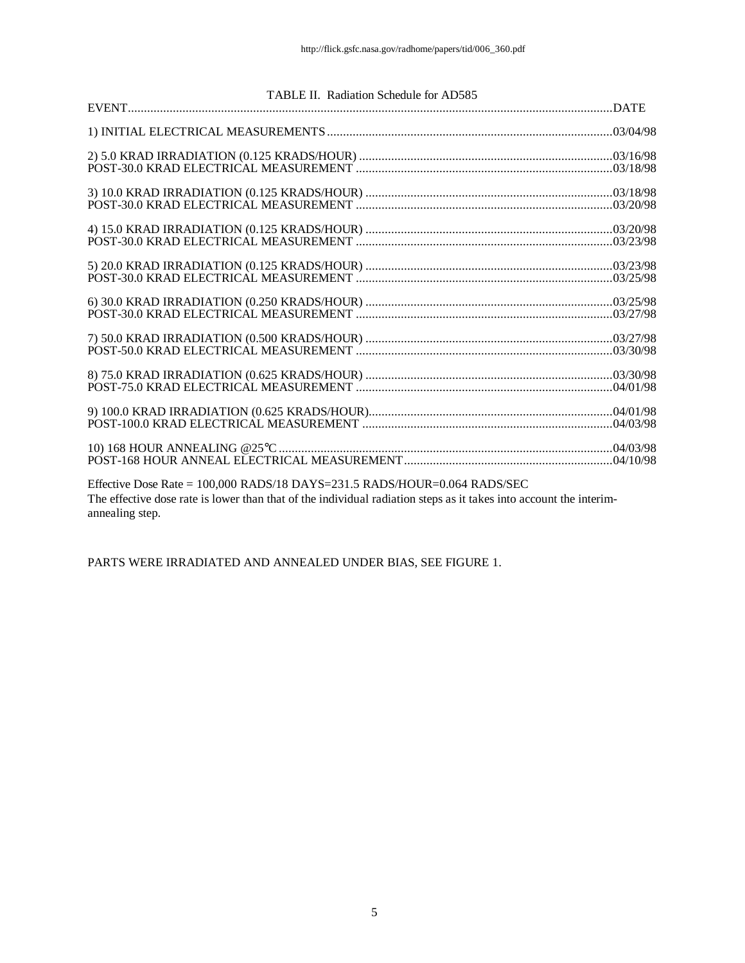| TABLE II. Radiation Schedule for AD585                                                                                                                                                          |  |
|-------------------------------------------------------------------------------------------------------------------------------------------------------------------------------------------------|--|
|                                                                                                                                                                                                 |  |
|                                                                                                                                                                                                 |  |
|                                                                                                                                                                                                 |  |
|                                                                                                                                                                                                 |  |
|                                                                                                                                                                                                 |  |
|                                                                                                                                                                                                 |  |
|                                                                                                                                                                                                 |  |
|                                                                                                                                                                                                 |  |
|                                                                                                                                                                                                 |  |
|                                                                                                                                                                                                 |  |
| Effective Dose Rate = 100,000 RADS/18 DAYS=231.5 RADS/HOUR=0.064 RADS/SEC<br>The effective dose rate is lower than that of the individual radiation steps as it takes into account the interim- |  |

annealing step.

PARTS WERE IRRADIATED AND ANNEALED UNDER BIAS, SEE FIGURE 1.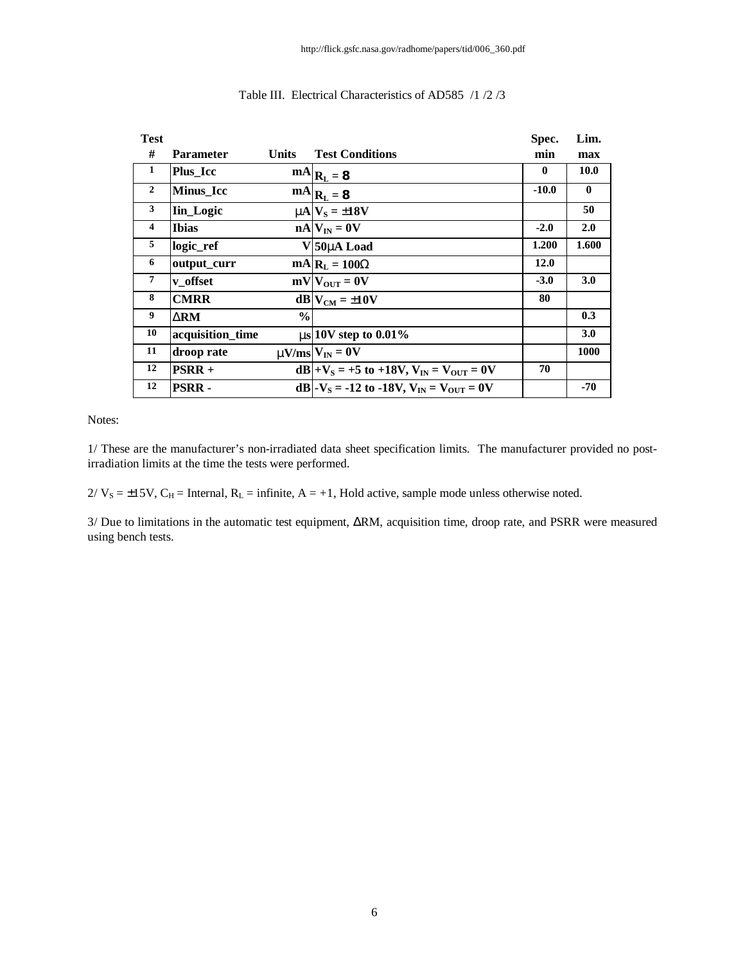| <b>Test</b>    |                  |               |                                                                | Spec.    | Lim.         |
|----------------|------------------|---------------|----------------------------------------------------------------|----------|--------------|
| #              | Parameter        | <b>Units</b>  | <b>Test Conditions</b>                                         | min      | max          |
| 1              | <b>Plus</b> Icc  |               | $\mathbf{m} \mathbf{A}   \mathbf{R}_{\mathbf{L}} = \mathbf{8}$ | $\bf{0}$ | 10.0         |
| $\overline{2}$ | Minus_Icc        |               | $\mathbf{m} \mathbf{A}   \mathbf{R}_{\mathbf{L}} = \mathbf{8}$ | $-10.0$  | $\mathbf{0}$ |
| 3              | <b>Iin_Logic</b> |               | $mN_S = \pm 18V$                                               |          | 50           |
| 4              | <b>Ibias</b>     |               | $nA V_{IN} = 0V$                                               | $-2.0$   | 2.0          |
| 5              | logic_ref        |               | V 50m Load                                                     | 1.200    | 1.600        |
| 6              | output_curr      |               | $mA$ <sub>L</sub> $= 100W$                                     | 12.0     |              |
| 7              | v offset         |               | $mV V_{OUT} = 0V$                                              | $-3.0$   | 3.0          |
| 8              | <b>CMRR</b>      |               | $dB V_{CM} = \pm 10V$                                          | 80       |              |
| 9              | DRM              | $\frac{0}{0}$ |                                                                |          | 0.3          |
| 10             | acquisition_time |               | $\text{ms}$ 10V step to 0.01%                                  |          | 3.0          |
| 11             | droop rate       |               | $mV$ /ms $V_{IN} = 0V$                                         |          | 1000         |
| 12             | $PSRR +$         |               | $dB +V_s = +5$ to +18V, $V_{IN} = V_{OUT} = 0V$                | 70       |              |
| 12             | <b>PSRR-</b>     |               | dB - $V_s$ = -12 to -18V, $V_{IN}$ = $V_{OUT}$ = 0V            |          | $-70$        |

### Table III. Electrical Characteristics of AD585 /1 /2 /3

Notes:

1/ These are the manufacturer's non-irradiated data sheet specification limits. The manufacturer provided no postirradiation limits at the time the tests were performed.

 $2/V_s = \pm 15V$ , C<sub>H</sub> = Internal, R<sub>L</sub> = infinite, A = +1, Hold active, sample mode unless otherwise noted.

3/ Due to limitations in the automatic test equipment, ΔRM, acquisition time, droop rate, and PSRR were measured using bench tests.